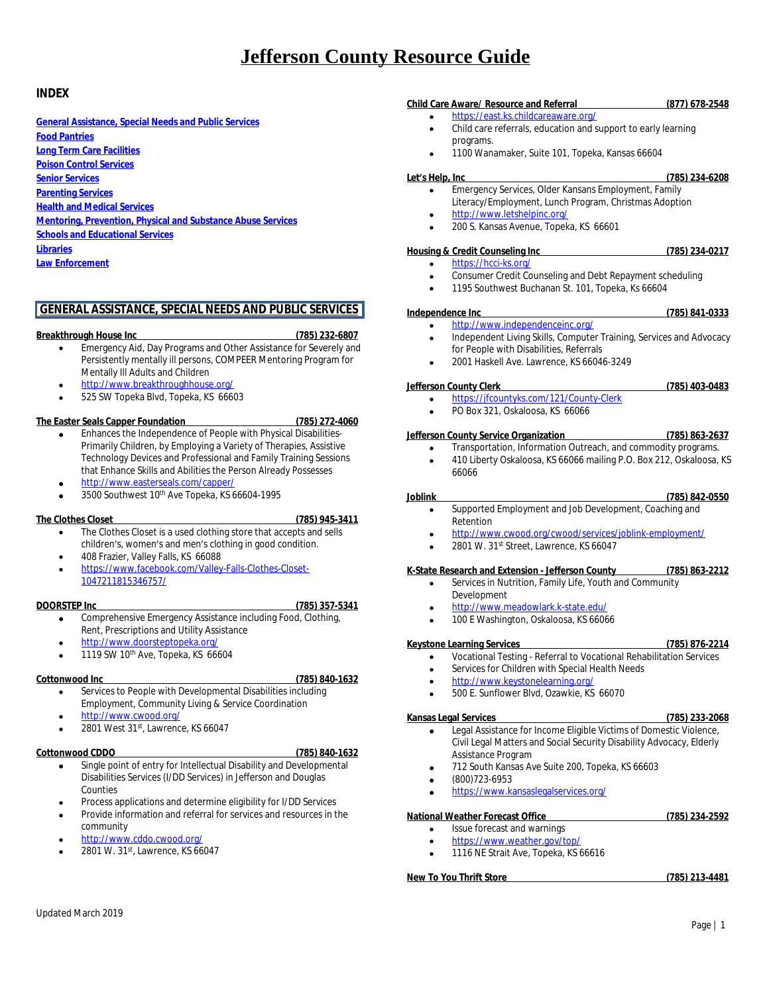# **INDEX**

**[General Assistance, Special Needs and Public Services](#page-0-0) [Food Pantries](#page-1-0) [Long Term Care Facilities](#page-1-1) [Poison Control Services](#page-2-0) [Senior Services](#page-2-1) [Parenting Services](#page-2-2) [Health and Medical Services](#page-3-0) [Mentoring, Prevention, Physical and Substance Abuse Services](#page-4-0) [Schools and Educational Services](#page-5-0) [Libraries](#page-6-0) [Law Enforcement](#page-6-1)**

# <span id="page-0-0"></span>**GENERAL ASSISTANCE, SPECIAL NEEDS AND PUBLIC SERVICES**

### **Breakthrough House Inc (785) 232-6807**

- Emergency Aid, Day Programs and Other Assistance for Severely and Persistently mentally ill persons, COMPEER Mentoring Program for Mentally Ill Adults and Children
- <http://www.breakthroughhouse.org/>
- 525 SW Topeka Blvd, Topeka, KS 66603

# **The Easter Seals Capper Foundation (785) 272-4060**

- Enhances the Independence of People with Physical Disabilities-Primarily Children, by Employing a Variety of Therapies, Assistive Technology Devices and Professional and Family Training Sessions that Enhance Skills and Abilities the Person Already Possesses
- <http://www.easterseals.com/capper/>
- 3500 Southwest 10th Ave Topeka, KS 66604-1995

## **The Clothes Closet (785) 945-3411**

- The Clothes Closet is a used clothing store that accepts and sells children's, women's and men's clothing in good condition. 408 Frazier, Valley Falls, KS 66088
- [https://www.facebook.com/Valley-Falls-Clothes-Closet-](https://www.facebook.com/Valley-Falls-Clothes-Closet-1047211815346757/)1047211815346757/

# **DOORSTEP Inc (785) 357-5341**

- Comprehensive Emergency Assistance including Food, Clothing, Rent, Prescriptions and Utility Assistance
- <http://www.doorsteptopeka.org/>
- 1119 SW 10th Ave, Topeka, KS 66604

## **Cottonwood Inc (785) 840-1632**

- Services to People with Developmental Disabilities including Employment, Community Living & Service Coordination
- <http://www.cwood.org/>
- $\bullet$  2801 West 31st, Lawrence, KS 66047

# **Cottonwood CDDO (785) 840-1632**

- Single point of entry for Intellectual Disability and Developmental Disabilities Services (I/DD Services) in Jefferson and Douglas Counties
- Process applications and determine eligibility for I/DD Services
- Provide information and referral for services and resources in the community
- <http://www.cddo.cwood.org/>
- $\bullet$  2801 W. 31st, Lawrence, KS 66047

## **Child Care Aware/ Resource and Referral (877) 678-2548**

- <https://east.ks.childcareaware.org/> Child care referrals, education and support to early learning programs.
- 1100 Wanamaker, Suite 101, Topeka, Kansas 66604

### **Let's Help, Inc (785) 234-6208**

- Emergency Services, Older Kansans Employment, Family Literacy/Employment, Lunch Program, Christmas Adoption
- <http://www.letshelpinc.org/>
- 200 S. Kansas Avenue, Topeka, KS 66601

### **Housing & Credit Counseling Inc (785) 234-0217**

- <https://hcci-ks.org/>
	- Consumer Credit Counseling and Debt Repayment scheduling
	- 1195 Southwest Buchanan St. 101, Topeka, Ks 66604

### **Independence Inc (785) 841-0333**

- <http://www.independenceinc.org/>
- Independent Living Skills, Computer Training, Services and Advocacy for People with Disabilities, Referrals
- 2001 Haskell Ave. Lawrence, KS 66046-3249

# **Jefferson County Clerk (785) 403-0483**

- <https://jfcountyks.com/121/County-Clerk>
- PO Box 321, Oskaloosa, KS 66066

# **Jefferson County Service Organization (785) 863-2637**

 Transportation, Information Outreach, and commodity programs. 410 Liberty Oskaloosa, KS 66066 mailing P.O. Box 212, Oskaloosa, KS 66066

### **Joblink (785) 842-0550**

- Supported Employment and Job Development, Coaching and Retention
- <http://www.cwood.org/cwood/services/joblink-employment/>
- 2801 W. 31st Street, Lawrence, KS 66047

## **K-State Research and Extension - Jefferson County (785) 863-2212**

- Services in Nutrition, Family Life, Youth and Community Development
- <http://www.meadowlark.k-state.edu/>
- 100 E Washington, Oskaloosa, KS 66066

### **Keystone Learning Services (785) 876-2214**

- Vocational Testing Referral to Vocational Rehabilitation Services
- Services for Children with Special Health Needs
- <http://www.keystonelearning.org/>
- 500 E. Sunflower Blvd, Ozawkie, KS 66070
- 

### **Kansas Legal Services (785) 233-2068**

- 
- Legal Assistance for Income Eligible Victims of Domestic Violence, Civil Legal Matters and Social Security Disability Advocacy, Elderly Assistance Program
- 712 South Kansas Ave Suite 200, Topeka, KS 66603
- (800)723-6953
- <https://www.kansaslegalservices.org/>

## **National Weather Forecast Office (785) 234-2592**

- Issue forecast and warnings
- <https://www.weather.gov/top/>
- 1116 NE Strait Ave, Topeka, KS 66616

### **New To You Thrift Store (785) 213-4481**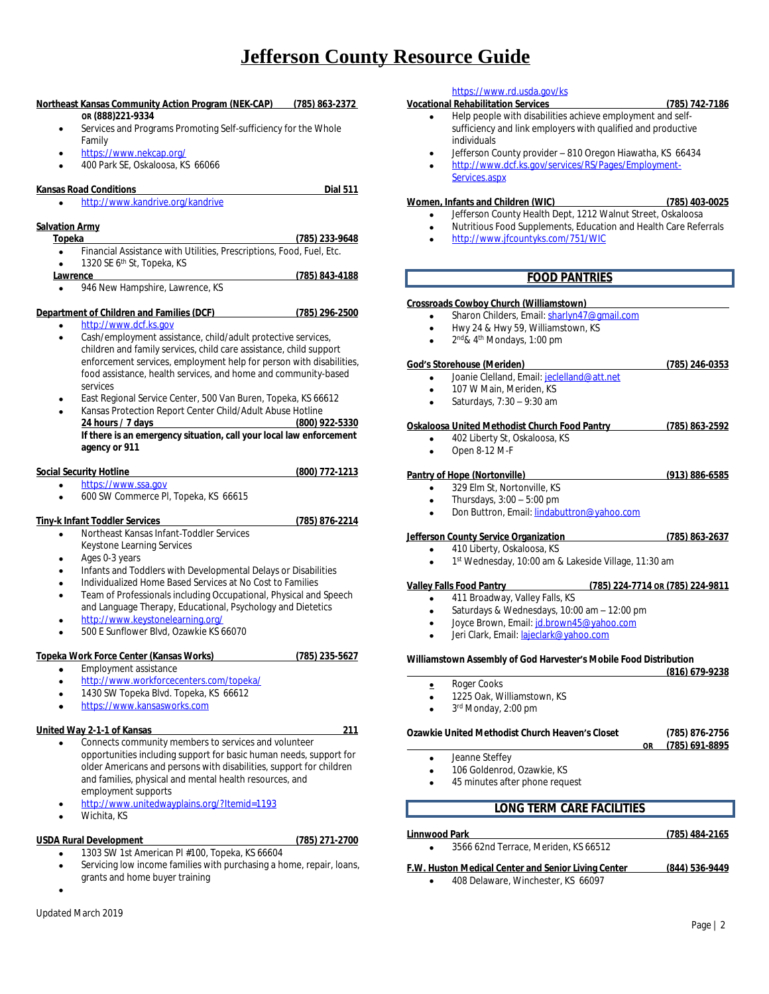# **Northeast Kansas Community Action Program (NEK-CAP) (785) 863-2372 OR (888)221-9334** Services and Programs Promoting Self-sufficiency for the Whole Family <https://www.nekcap.org/> 400 Park SE, Oskaloosa, KS 66066 **Kansas Road Conditions Dial 511** <http://www.kandrive.org/kandrive> **Salvation Army Topeka (785) 233-9648** Financial Assistance with Utilities, Prescriptions, Food, Fuel, Etc. • 1320 SE 6<sup>th</sup> St, Topeka, KS **Lawrence (785) 843-4188** 946 New Hampshire, Lawrence, KS **Department of Children and Families (DCF) (785) 296-2500** <http://www.dcf.ks.gov> Cash/employment assistance, child/adult protective services, children and family services, child care assistance, child support enforcement services, employment help for person with disabilities, food assistance, health services, and home and community-based services East Regional Service Center, 500 Van Buren, Topeka, KS 66612 Kansas Protection Report Center Child/Adult Abuse Hotline<br>24 hours / 7 days (800) 922-5330 **24 hours / 7 days (800) 922-5330 If there is an emergency situation, call your local law enforcement agency or 911 Social Security Hotline (800) 772-1213** <https://www.ssa.gov> 600 SW Commerce Pl, Topeka, KS 66615 **Tiny-k Infant Toddler Services (785) 876-2214** Northeast Kansas Infant‐Toddler Services Keystone Learning Services Ages 0-3 years Infants and Toddlers with Developmental Delays or Disabilities Individualized Home Based Services at No Cost to Families **•** Team of Professionals including Occupational, Physical and Speech and Language Therapy, Educational, Psychology and Dietetics <http://www.keystonelearning.org/> 500 E Sunflower Blvd, Ozawkie KS 66070 **Topeka Work Force Center (Kansas Works) (785) 235-5627** Employment assistance <http://www.workforcecenters.com/topeka/> 1430 SW Topeka Blvd. Topeka, KS 66612 <https://www.kansasworks.com> **United Way 2-1-1 of Kansas 211** Connects community members to services and volunteer opportunities including support for basic human needs, support for older Americans and persons with disabilities, support for children and families, physical and mental health resources, and employment supports

- <http://www.unitedwayplains.org/?Itemid=1193>
- Wichita, KS

# **USDA Rural Development (785) 271-2700**

- 
- 1303 SW 1st American Pl #100, Topeka, KS 66604
- Servicing low income families with purchasing a home, repair, loans, grants and home buyer training

 $\bullet$ 

# <https://www.rd.usda.gov/ks>

# **Vocational Rehabilitation Services (785) 742-7186**

- Help people with disabilities achieve employment and selfsufficiency and link employers with qualified and productive individuals
- Jefferson County provider 810 Oregon Hiawatha, KS 66434
- [http://www.dcf.ks.gov/services/RS/Pages/Employment-](http://www.dcf.ks.gov/services/RS/Pages/Employment-Services.aspx)Services.aspx

### **Women, Infants and Children (WIC) (785) 403-0025**

- Jefferson County Health Dept, 1212 Walnut Street, Oskaloosa
- Nutritious Food Supplements, Education and Health Care Referrals
- <http://www.jfcountyks.com/751/WIC>

# <span id="page-1-0"></span>**FOOD PANTRIES**

# **Crossroads Cowboy Church (Williamstown)**

- Sharon Childers, Email: [sharlyn47@gmail.com](mailto:sharlyn47@gmail.com)
- Hwy 24 & Hwy 59, Williamstown, KS
- $\bullet$  2<sup>nd</sup>& 4<sup>th</sup> Mondays, 1:00 pm

### **God's Storehouse (Meriden) (785) 246-0353**

- Joanie Clelland, Email: [jeclelland@att.net](mailto:jeclelland@att.net)
- 107 W Main, Meriden, KS
- Saturdays, 7:30 9:30 am

# **Oskaloosa United Methodist Church Food Pantry (785) 863-2592**

- 402 Liberty St, Oskaloosa, KS
- Open 8-12 M-F

### **Pantry of Hope (Nortonville) (913) 886-6585**

- 329 Elm St, Nortonville, KS
- Thursdays, 3:00 5:00 pm
- Don Buttron, Email: [lindabuttron@yahoo.com](mailto:lindabuttron@yahoo.com)

# **Jefferson County Service Organization (785) 863-2637**

- 410 Liberty, Oskaloosa, KS
- 1<sup>st</sup> Wednesday, 10:00 am & Lakeside Village, 11:30 am

# **Valley Falls Food Pantry (785) 224-7714 OR (785) 224-9811**

- 411 Broadway, Valley Falls, KS
- Saturdays & Wednesdays, 10:00 am 12:00 pm
- Joyce Brown, Email: [jd.brown45@yahoo.com](mailto:jd.brown45@yahoo.com)
- Jeri Clark, Email: [lajeclark@yahoo.com](mailto:lajeclark@yahoo.com)

### **Williamstown Assembly of God Harvester's Mobile Food Distribution**

| Roger Cooks |  |
|-------------|--|

- 1225 Oak, Williamstown, KS
- 3<sup>rd</sup> Monday, 2:00 pm

# **Ozawkie United Methodist Church Heaven's Closet (785) 876-2756**

- Jeanne Steffey
- 106 Goldenrod, Ozawkie, KS
- 45 minutes after phone request
	- **LONG TERM CARE FACILITIES**

# <span id="page-1-1"></span>**Linnwood Park (785) 484-2165** 3566 62nd Terrace, Meriden, KS 66512

- **F.W. Huston Medical Center and Senior Living Center (844) 536-9449**
	- 408 Delaware, Winchester, KS 66097

 **(816) 679-9238**

 **OR (785) 691-8895**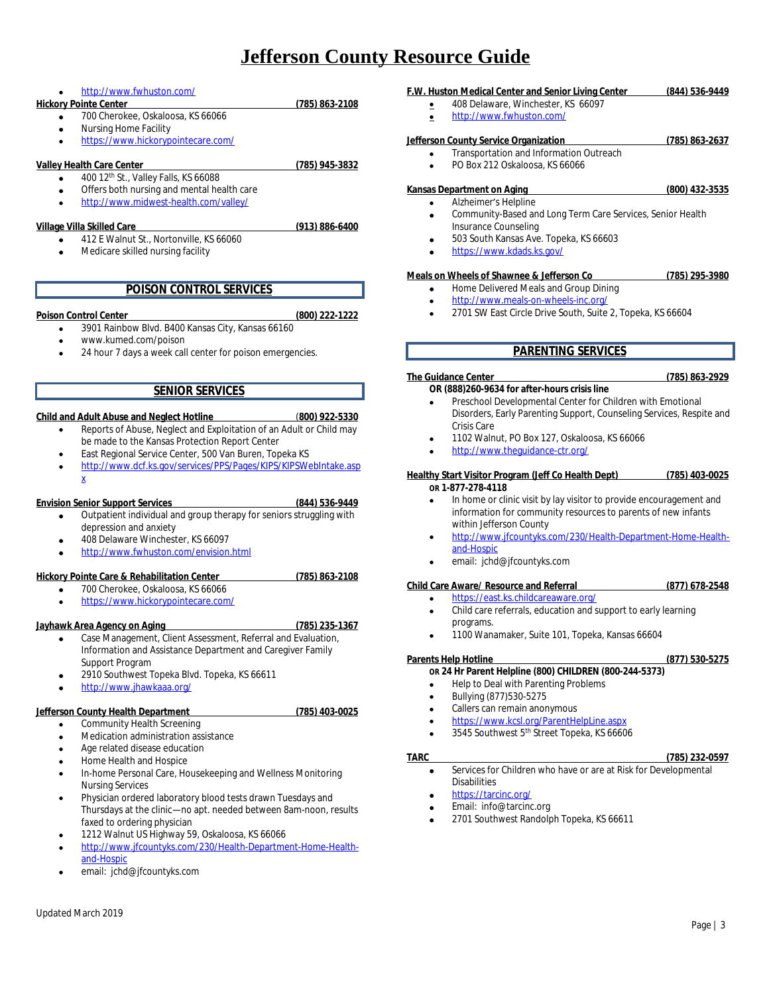<http://www.fwhuston.com/>

# **Hickory Pointe Center (785) 863-2108**

- 700 Cherokee, Oskaloosa, KS 66066
- Nursing Home Facility
- <https://www.hickorypointecare.com/>

# **Valley Health Care Center (785) 945-3832**

# 400 12th St., Valley Falls, KS 66088

- Offers both nursing and mental health care
- <http://www.midwest-health.com/valley/>

# **Village Villa Skilled Care (913) 886-6400**

- 412 E Walnut St., Nortonville, KS 66060
- Medicare skilled nursing facility

# **POISON CONTROL SERVICES**

## <span id="page-2-0"></span>**Poison Control Center (800) 222-1222**

- 3901 Rainbow Blvd. B400 Kansas City, Kansas 66160
- [www.kumed.com/poison](http://www.kumed.com/poison)
- 24 hour 7 days a week call center for poison emergencies.

# **SENIOR SERVICES**

## <span id="page-2-1"></span>**Child and Adult Abuse and Neglect Hotline** (**800) 922-5330**

- Reports of Abuse, Neglect and Exploitation of an Adult or Child may be made to the Kansas Protection Report Center
- East Regional Service Center, 500 Van Buren, Topeka KS
- [http://www.dcf.ks.gov/services/PPS/Pages/KIPS/KIPSWebIntake.asp](http://www.dcf.ks.gov/services/PPS/Pages/KIPS/KIPSWebIntake.aspx) x

## **Envision Senior Support Services (844) 536-9449**

- Outpatient individual and group therapy for seniors struggling with depression and anxiety
- 408 Delaware Winchester, KS 66097
- <http://www.fwhuston.com/envision.html>

# **Hickory Pointe Care & Rehabilitation Center (785) 863-2108**

 700 Cherokee, Oskaloosa, KS 66066 <https://www.hickorypointecare.com/>

# **Jayhawk Area Agency on Aging (785) 235-1367**

- Case Management, Client Assessment, Referral and Evaluation, Information and Assistance Department and Caregiver Family Support Program
- 2910 Southwest Topeka Blvd. Topeka, KS 66611
- <http://www.jhawkaaa.org/>

# **Jefferson County Health Department (785) 403-0025**

- Community Health Screening
- Medication administration assistance
- Age related disease education
- Home Health and Hospice
- In-home Personal Care, Housekeeping and Wellness Monitoring Nursing Services
- Physician ordered laboratory blood tests drawn Tuesdays and Thursdays at the clinic—no apt. needed between 8am-noon, results faxed to ordering physician
- 1212 Walnut US Highway 59, Oskaloosa, KS 66066
- [http://www.jfcountyks.com/230/Health-Department-Home-Health](http://www.jfcountyks.com/230/Health-Department-Home-Health-and-Hospic)and-Hospic
- email: [jchd@jfcountyks.com](mailto:jchd@jfcountyks.com)

# **F.W. Huston Medical Center and Senior Living Center (844) 536-9449**

- 408 Delaware, Winchester, KS 66097 <http://www.fwhuston.com/>
- 

### **Jefferson County Service Organization (785) 863-2637** Transportation and Information Outreach

PO Box 212 Oskaloosa, KS 66066

# **Kansas Department on Aging (800) 432-3535**

- Alzheimer's Helpline
- Community-Based and Long Term Care Services, Senior Health Insurance Counseling
- **503 South Kansas Ave. Topeka, KS 66603**
- <https://www.kdads.ks.gov/>

# **Meals on Wheels of Shawnee & Jefferson Co (785) 295-3980**

- Home Delivered Meals and Group Dining
- <http://www.meals-on-wheels-inc.org/>
- 2701 SW East Circle Drive South, Suite 2, Topeka, KS 66604

# **PARENTING SERVICES**

# <span id="page-2-2"></span>**The Guidance Center (785) 863-2929**

- **OR (888)260-9634 for after-hours crisis line** Preschool Developmental Center for Children with Emotional
- Disorders, Early Parenting Support, Counseling Services, Respite and Crisis Care
- 1102 Walnut, PO Box 127, Oskaloosa, KS 66066
- 

### **Healthy Start Visitor Program (Jeff Co Health Dept) (785) 403-0025 OR 1-877-278-4118**

- In home or clinic visit by lay visitor to provide encouragement and information for community resources to parents of new infants within Jefferson County
- [http://www.jfcountyks.com/230/Health-Department-Home-Health](http://www.jfcountyks.com/230/Health-Department-Home-Health-and-Hospic)and-Hospic
- email: [jchd@jfcountyks.com](mailto:jchd@jfcountyks.com)

# **Child Care Aware/ Resource and Referral (877) 678-2548**

- <https://east.ks.childcareaware.org/>
- Child care referrals, education and support to early learning programs.
- 1100 Wanamaker, Suite 101, Topeka, Kansas 66604

# **OR 24 Hr Parent Helpline (800) CHILDREN (800-244-5373)**

- Help to Deal with Parenting Problems
- Bullying (877)530-5275
- Callers can remain anonymous
- <https://www.kcsl.org/ParentHelpLine.aspx>
- 3545 Southwest 5th Street Topeka, KS 66606

### **TARC (785) 232-0597**

- Services for Children who have or are at Risk for Developmental **Disabilities**
- <https://tarcinc.org/>
- Email: info@tarcinc.org
- 2701 Southwest Randolph Topeka, KS 66611
- 
- <http://www.theguidance-ctr.org/>
- 

- 
- 

# **Parents Help Hotline (877) 530-5275**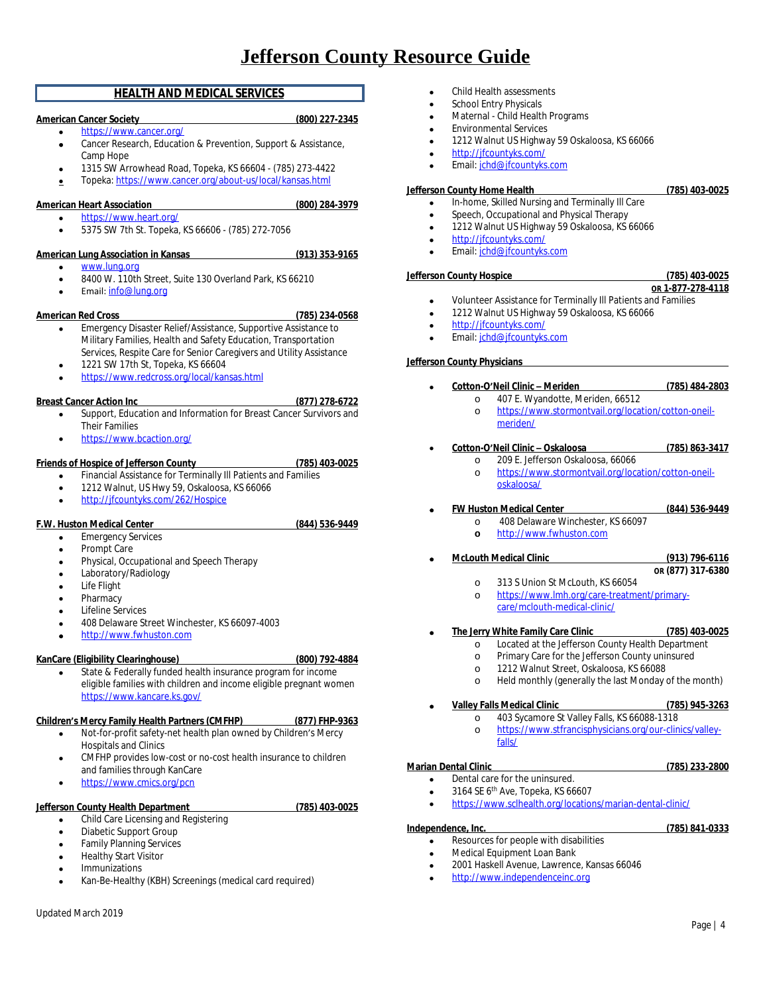# **HEALTH AND MEDICAL SERVICES**

# <span id="page-3-0"></span>**American Cancer Society (800) 227-2345**

- <https://www.cancer.org/>
	- Cancer Research, Education & Prevention, Support & Assistance, Camp Hope
	- 1315 SW Arrowhead Road, Topeka, KS 66604 (785) 273-4422
	- **Topeka:** <https://www.cancer.org/about-us/local/kansas.html>

# **American Heart Association (800) 284-3979**

- <https://www.heart.org/>
	- 5375 SW 7th St. Topeka, KS 66606 (785) 272-7056

# **American Lung Association in Kansas (913) 353-9165**

- [www.lung.org](http://www.lung.org)
- 8400 W. 110th Street, Suite 130 Overland Park, KS 66210
- Email: [info@lung.org](mailto:info@lung.org)

# **American Red Cross (785) 234-0568**

- 
- Emergency Disaster Relief/Assistance, Supportive Assistance to Military Families, Health and Safety Education, Transportation Services, Respite Care for Senior Caregivers and Utility Assistance
- 1221 SW 17th St, Topeka, KS 66604
- <https://www.redcross.org/local/kansas.html>

# **Breast Cancer Action Inc (877) 278-6722**

- Support, Education and Information for Breast Cancer Survivors and Their Families
- <https://www.bcaction.org/>

# **Friends of Hospice of Jefferson County (785) 403-0025**

- **•** Financial Assistance for Terminally III Patients and Families
- 1212 Walnut, US Hwy 59, Oskaloosa, KS 66066
- <http://jfcountyks.com/262/Hospice>

# **F.W. Huston Medical Center (844) 536-9449**

- Emergency Services
- Prompt Care
- **•** Physical, Occupational and Speech Therapy
- Laboratory/Radiology
- Life Flight
- **Pharmacy**
- Lifeline Services
- 408 Delaware Street Winchester, KS 66097-4003
- <http://www.fwhuston.com>

# **KanCare (Eligibility Clearinghouse) (800) 792-4884**

 State & Federally funded health insurance program for income eligible families with children and income eligible pregnant women <https://www.kancare.ks.gov/>

# **Children's Mercy Family Health Partners (CMFHP) (877) FHP-9363**

- Not-for-profit safety-net health plan owned by Children's Mercy Hospitals and Clinics
- CMFHP provides low-cost or no-cost health insurance to children and families through KanCare
- <https://www.cmics.org/pcn>

# **Jefferson County Health Department (785) 403-0025**

- **•** Child Care Licensing and Registering
- Diabetic Support Group
- Family Planning Services
- Healthy Start Visitor
- Immunizations
- Kan-Be-Healthy (KBH) Screenings (medical card required)
- Updated March 2019
- Child Health assessments
- School Entry Physicals
- Maternal Child Health Programs
- Environmental Services
- 1212 Walnut US Highway 59 Oskaloosa, KS 66066
- <http://jfcountyks.com/>
- Email: [jchd@jfcountyks.com](mailto:jchd@jfcountyks.com)

# **Jefferson County Home Health (785) 403-0025**

- In-home, Skilled Nursing and Terminally Ill Care
- Speech, Occupational and Physical Therapy
- 1212 Walnut US Highway 59 Oskaloosa, KS 66066
- <http://jfcountyks.com/>
- Email: [jchd@jfcountyks.com](mailto:jchd@jfcountyks.com)

# **Jefferson County Hospice (785) 403-0025**

Page | 4

- **OR 1-877-278-4118** Volunteer Assistance for Terminally Ill Patients and Families
- 1212 Walnut US Highway 59 Oskaloosa, KS 66066
- <http://jfcountyks.com/>
- Email: [jchd@jfcountyks.com](mailto:jchd@jfcountyks.com)

# **Jefferson County Physicians**

- **Cotton-O'Neil Clinic – Meriden (785) 484-2803**
	- o 407 E. Wyandotte, Meriden, 66512 o [https://www.stormontvail.org/location/cotton-oneil](https://www.stormontvail.org/location/cotton-oneil-meriden/)meriden/
- **Cotton-O'Neil Clinic – Oskaloosa (785) 863-3417**
	- o 209 E. Jefferson Oskaloosa, 66066
	- o [https://www.stormontvail.org/location/cotton-oneil](https://www.stormontvail.org/location/cotton-oneil-oskaloosa/)oskaloosa/
- **FW Huston Medical Center (844) 536-9449**
	- o 408 Delaware Winchester, KS 66097
	- **o** <http://www.fwhuston.com>
- **McLouth Medical Clinic (913) 796-6116**
	- **OR (877) 317-6380** o 313 S Union St McLouth, KS 66054
	- o [https://www.lmh.org/care-treatment/primary](https://www.lmh.org/care-treatment/primary-care/mclouth-medical-clinic/)care/mclouth-medical-clinic/
- **The Jerry White Family Care Clinic (785) 403-0025**
	- o Located at the Jefferson County Health Department
	- o Primary Care for the Jefferson County uninsured
	- o 1212 Walnut Street, Oskaloosa, KS 66088
	- o Held monthly (generally the last Monday of the month)

# **Valley Falls Medical Clinic (785) 945-3263**

- o 403 Sycamore St Valley Falls, KS 66088-1318
	- o [https://www.stfrancisphysicians.org/our-clinics/valley-](https://www.stfrancisphysicians.org/our-clinics/valley-falls/)
	- falls/

- **Marian Dental Clinic (785) 233-2800** Dental care for the uninsured.
	- 3164 SE 6th Ave, Topeka, KS 66607
	- <https://www.sclhealth.org/locations/marian-dental-clinic/>

2001 Haskell Avenue, Lawrence, Kansas 66046

# **Independence, Inc. (785) 841-0333**

Resources for people with disabilities

<http://www.independenceinc.org>

Medical Equipment Loan Bank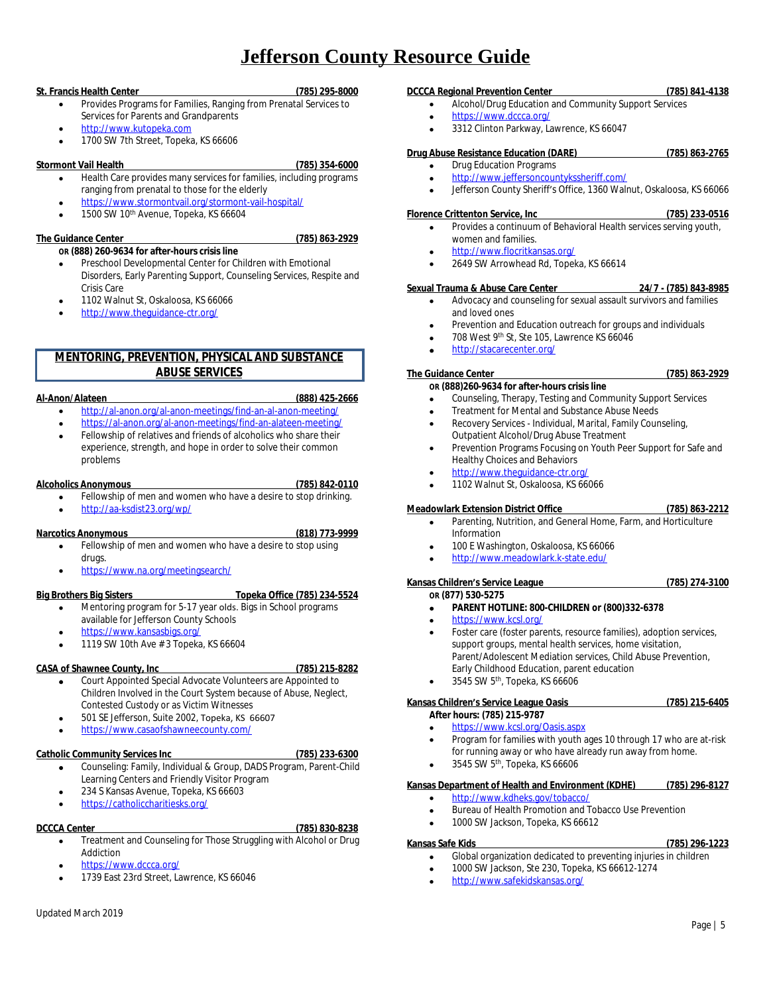# **St. Francis Health Center (785) 295-8000**

- Provides Programs for Families, Ranging from Prenatal Services to Services for Parents and Grandparents
- <http://www.kutopeka.com>
- 1700 SW 7th Street, Topeka, KS 66606

### **Stormont Vail Health (785) 354-6000**

- Health Care provides many services for families, including programs ranging from prenatal to those for the elderly
- <https://www.stormontvail.org/stormont-vail-hospital/>
- 1500 SW 10th Avenue, Topeka, KS 66604

### **The Guidance Center (785) 863-2929**

- **OR (888) 260-9634 for after-hours crisis line** Preschool Developmental Center for Children with Emotional Disorders, Early Parenting Support, Counseling Services, Respite and Crisis Care
- 1102 Walnut St, Oskaloosa, KS 66066
- <http://www.theguidance-ctr.org/>

# <span id="page-4-0"></span>**MENTORING, PREVENTION, PHYSICAL AND SUBSTANCE ABUSE SERVICES**

# **Al-Anon/Alateen (888) 425-2666**

- <http://al-anon.org/al-anon-meetings/find-an-al-anon-meeting/>
- <https://al-anon.org/al-anon-meetings/find-an-alateen-meeting/>
- Fellowship of relatives and friends of alcoholics who share their experience, strength, and hope in order to solve their common problems

### **Alcoholics Anonymous (785) 842-0110**

- Fellowship of men and women who have a desire to stop drinking.
- <http://aa-ksdist23.org/wp/>

## **Narcotics Anonymous (818) 773-9999**

- Fellowship of men and women who have a desire to stop using drugs.
- <https://www.na.org/meetingsearch/>

# **Big Brothers Big Sisters Topeka Office (785) 234-5524**

- Mentoring program for 5-17 year olds. Bigs in School programs available for Jefferson County Schools
- <https://www.kansasbigs.org/>
- 1119 SW 10th Ave # 3 Topeka, KS 66604

## **CASA of Shawnee County, Inc (785) 215-8282**

- Court Appointed Special Advocate Volunteers are Appointed to Children Involved in the Court System because of Abuse, Neglect, Contested Custody or as Victim Witnesses
- 501 SE Jefferson, Suite 2002, Topeka, KS 66607
- <https://www.casaofshawneecounty.com/>

## **Catholic Community Services Inc (785) 233-6300**

- Counseling: Family, Individual & Group, DADS Program, Parent-Child Learning Centers and Friendly Visitor Program
- 234 S Kansas Avenue, Topeka, KS 66603
- <https://catholiccharitiesks.org/>

# **DCCCA Center (785) 830-8238**

- Treatment and Counseling for Those Struggling with Alcohol or Drug Addiction
- <https://www.dccca.org/>
- 1739 East 23rd Street, Lawrence, KS 66046

# **DCCCA Regional Prevention Center (785) 841-4138**

- Alcohol/Drug Education and Community Support Services
- <https://www.dccca.org/>
- 3312 Clinton Parkway, Lawrence, KS 66047

# **Drug Abuse Resistance Education (DARE) (785) 863-2765**

- Drug Education Programs
- <http://www.jeffersoncountykssheriff.com/>
- Jefferson County Sheriff's Office, 1360 Walnut, Oskaloosa, KS 66066

### **Florence Crittenton Service, Inc (785) 233-0516**

- Provides a continuum of Behavioral Health services serving youth, women and families.
- <http://www.flocritkansas.org/>
- 2649 SW Arrowhead Rd, Topeka, KS 66614

### **Sexual Trauma & Abuse Care Center 24/7 - (785) 843-8985**

- Advocacy and counseling for sexual assault survivors and families and loved ones
- Prevention and Education outreach for groups and individuals
- 708 West 9th St, Ste 105, Lawrence KS 66046
- <http://stacarecenter.org/>

# **The Guidance Center (785) 863-2929**

- **OR (888)260-9634 for after-hours crisis line** Counseling, Therapy, Testing and Community Support Services
- Treatment for Mental and Substance Abuse Needs
- Recovery Services Individual, Marital, Family Counseling, Outpatient Alcohol/Drug Abuse Treatment
- Prevention Programs Focusing on Youth Peer Support for Safe and Healthy Choices and Behaviors
- <http://www.theguidance-ctr.org/>
- 1102 Walnut St, Oskaloosa, KS 66066

## **Meadowlark Extension District Office (785) 863-2212**

- Parenting, Nutrition, and General Home, Farm, and Horticulture Information
- 100 E Washington, Oskaloosa, KS 66066
- <http://www.meadowlark.k-state.edu/>

### **Kansas Children's Service League (785) 274-3100 OR (877) 530-5275**

- **PARENT HOTLINE: 800-CHILDREN or (800)332-6378**
- <https://www.kcsl.org/>
- Foster care (foster parents, resource families), adoption services, support groups, mental health services, home visitation, Parent/Adolescent Mediation services, Child Abuse Prevention, Early Childhood Education, parent education
- $\bullet$  3545 SW 5<sup>th</sup>, Topeka, KS 66606

# **Kansas Children's Service League Oasis (785) 215-6405**

# **After hours: (785) 215-9787**

- <https://www.kcsl.org/Oasis.aspx>
- Program for families with youth ages 10 through 17 who are at-risk for running away or who have already run away from home.
- $\bullet$  3545 SW 5<sup>th</sup>, Topeka, KS 66606

### **Kansas Department of Health and Environment (KDHE) (785) 296-8127** <http://www.kdheks.gov/tobacco/>

- Bureau of Health Promotion and Tobacco Use Prevention
- 1000 SW Jackson, Topeka, KS 66612
- 

# **Kansas Safe Kids (785) 296-1223**

- Global organization dedicated to preventing injuries in children
- 1000 SW Jackson, Ste 230, Topeka, KS 66612-1274
- <http://www.safekidskansas.org/>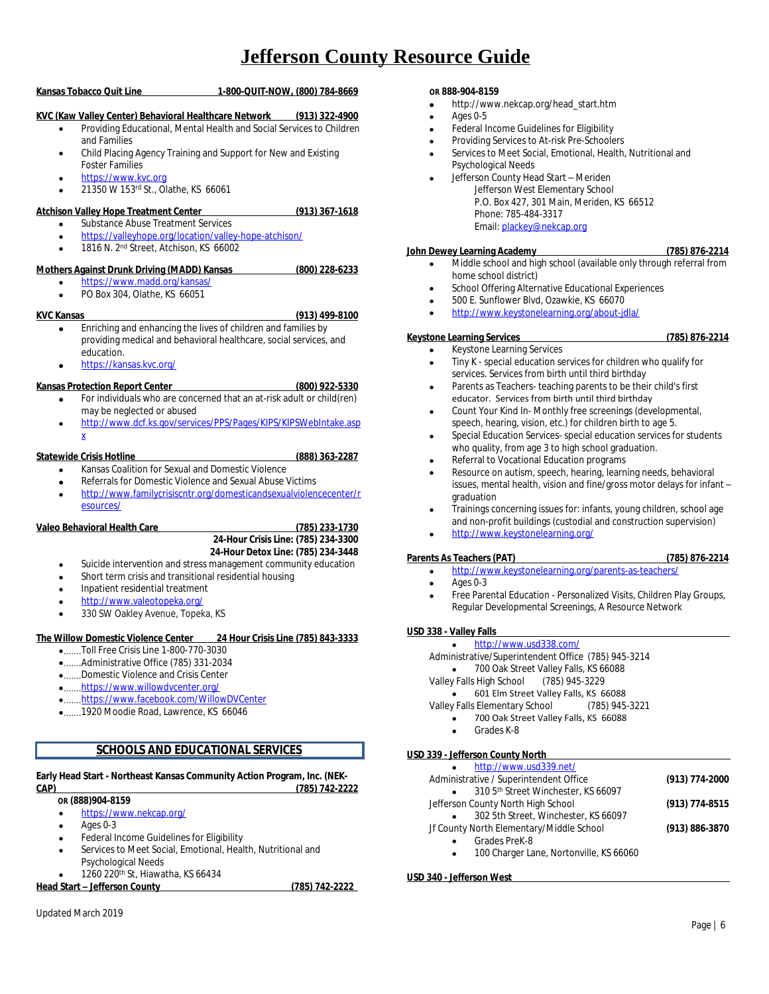# **Kansas Tobacco Quit Line 1-800-QUIT-NOW, (800) 784-8669**

# **KVC (Kaw Valley Center) Behavioral Healthcare Network (913) 322-4900**

- Providing Educational, Mental Health and Social Services to Children and Families
- Child Placing Agency Training and Support for New and Existing Foster Families
- <https://www.kvc.org>
- 21350 W 153rd St., Olathe, KS 66061

### **Atchison Valley Hope Treatment Center (913) 367-1618**

- Substance Abuse Treatment Services <https://valleyhope.org/location/valley-hope-atchison/>
- 1816 N. 2nd Street, Atchison, KS 66002

# **Mothers Against Drunk Driving (MADD) Kansas (800) 228-6233**

- <https://www.madd.org/kansas/>
- PO Box 304, Olathe, KS 66051

# **KVC Kansas (913) 499-8100**

- Enriching and enhancing the lives of children and families by providing medical and behavioral healthcare, social services, and education.
- <https://kansas.kvc.org/>

# **Kansas Protection Report Center (800) 922-5330**

- For individuals who are concerned that an at-risk adult or child(ren) may be neglected or abused
- [http://www.dcf.ks.gov/services/PPS/Pages/KIPS/KIPSWebIntake.asp](http://www.dcf.ks.gov/services/PPS/Pages/KIPS/KIPSWebIntake.aspx) x

# **Statewide Crisis Hotline (888) 363-2287**

# Kansas Coalition for Sexual and Domestic Violence

- Referrals for Domestic Violence and Sexual Abuse Victims
- [http://www.familycrisiscntr.org/domesticandsexualviolencecenter/r](http://www.familycrisiscntr.org/domesticandsexualviolencecenter/resources/) esources/

# **Valeo Behavioral Health Care (785) 233-1730**

# **24-Hour Crisis Line: (785) 234-3300 24-Hour Detox Line: (785) 234-3448**

- Suicide intervention and stress management community education
- Short term crisis and transitional residential housing
- Inpatient residential treatment
- <http://www.valeotopeka.org/>
- 330 SW Oakley Avenue, Topeka, KS

## **The Willow Domestic Violence Center 24 Hour Crisis Line (785) 843-3333**

- .......Toll Free Crisis Line 1-800-770-3030
- .......Administrative Office (785) 331-2034
- .......Domestic Violence and Crisis Center
- .......<https://www.willowdvcenter.org/>
- .......<https://www.facebook.com/WillowDVCenter>
- .......[1920 Moodie Road, Lawrence, KS 66046](http://www.willowdvcenter.org/Jefferson_County_Service.html)

# **[SCHOOLS AND EDUCATIONAL SERVICES](http://www.willowdvcenter.org/Jefferson_County_Service.html)**

## <span id="page-5-0"></span>**[Early Head Start - Northeast Kansas Community Action Program, Inc. \(NEK-](http://www.willowdvcenter.org/Jefferson_County_Service.html)[CAP\) \(785\) 742-2222](http://www.willowdvcenter.org/Jefferson_County_Service.html)**

# **[OR](http://www.willowdvcenter.org/Jefferson_County_Service.html) [\(888\)904-8159](http://www.willowdvcenter.org/Jefferson_County_Service.html)**

- <https://www.nekcap.org/>
- Ages 0-3
- Federal Income Guidelines for Eligibility
- Services to Meet Social, Emotional, Health, Nutritional and Psychological Needs
- 1260 220th St, Hiawatha, KS 66434

**Head Start – Jefferson County (785) 742-2222** 

# **OR 888-904-8159**

- http://www.nekcap.org/head\_start.htm
- Ages 0-5
- Federal Income Guidelines for Eligibility
- Providing Services to At-risk Pre-Schoolers
- Services to Meet Social, Emotional, Health, Nutritional and Psychological Needs
- Jefferson County Head Start Meriden Jefferson West Elementary School P.O. Box 427, 301 Main, Meriden, KS 66512 Phone: 785-484-3317 Email: [plackey@nekcap.org](mailto:plackey@nekcap.org)

### **John Dewey Learning Academy (785) 876-2214**

- Middle school and high school (available only through referral from home school district)
- School Offering Alternative Educational Experiences
- 500 E. Sunflower Blvd, Ozawkie, KS 66070
- <http://www.keystonelearning.org/about-jdla/>

## **Keystone Learning Services (785) 876-2214**

- Keystone Learning Services
- Tiny K special education services for children who qualify for services. Services from birth until third birthday
- Parents as Teachers- teaching parents to be their child's first educator. Services from birth until third birthday
- Count Your Kind In- Monthly free screenings (developmental, speech, hearing, vision, etc.) for children birth to age 5.
- Special Education Services- special education services for students who quality, from age 3 to high school graduation.
- Referral to Vocational Education programs
- Resource on autism, speech, hearing, learning needs, behavioral issues, mental health, vision and fine/gross motor delays for infant – graduation
- Trainings concerning issues for: infants, young children, school age and non-profit buildings (custodial and construction supervision)
- <http://www.keystonelearning.org/>

## **Parents As Teachers (PAT) (785) 876-2214**

- <http://www.keystonelearning.org/parents-as-teachers/>
- Ages 0-3
- Free Parental Education Personalized Visits, Children Play Groups, Regular Developmental Screenings, A Resource Network

## **USD 338 - Valley Falls**

| http://www.usd338.com/                              |  |
|-----------------------------------------------------|--|
| Administrative/Superintendent Office (785) 945-3214 |  |
| 700 Oak Street Valley Falls, KS 66088               |  |
| Valley Falls High School (785) 945-3229             |  |
| 601 Elm Street Valley Falls, KS 66088<br>$\bullet$  |  |
| Valley Falls Elementary School (785) 945-3221       |  |
| 700 Oak Street Valley Falls, KS 66088<br>$\bullet$  |  |
| Grades K-8                                          |  |
|                                                     |  |

## **USD 339 - Jefferson County North**

| http://www.usd339.net/                               |                |
|------------------------------------------------------|----------------|
| Administrative / Superintendent Office               | (913) 774-2000 |
| 310 5th Street Winchester, KS 66097<br>$\bullet$     |                |
| Jefferson County North High School                   | (913) 774-8515 |
| 302 5th Street, Winchester, KS 66097<br>$\bullet$    |                |
| Jf County North Elementary/Middle School             | (913) 886-3870 |
| Grades PreK-8<br>$\bullet$                           |                |
| 100 Charger Lane, Nortonville, KS 66060<br>$\bullet$ |                |
|                                                      |                |

## **USD 340 - Jefferson West**